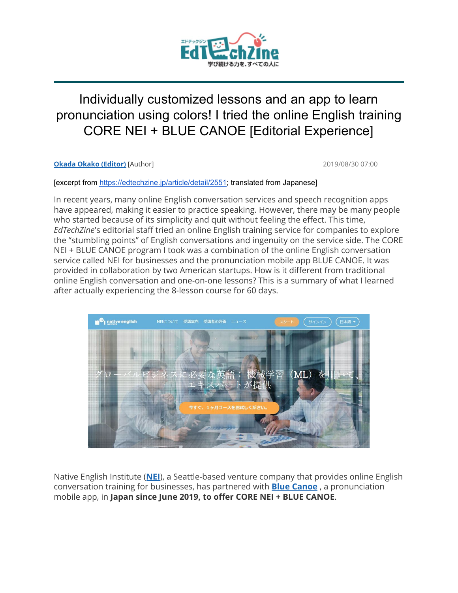

# Individually customized lessons and an app to learn pronunciation using colors! I tried the online English training CORE NEI + BLUE CANOE [Editorial Experience]

**[Okada Okako \(Editor\)](https://edtechzine.jp/author/30)** [Author] 2019/08/30 07:00

[excerpt from <https://edtechzine.jp/article/detail/2551>; translated from Japanese]

In recent years, many online English conversation services and speech recognition apps have appeared, making it easier to practice speaking. However, there may be many people who started because of its simplicity and quit without feeling the effect. This time, *EdTechZine*'s editorial staff tried an online English training service for companies to explore the "stumbling points" of English conversations and ingenuity on the service side. The CORE NEI + BLUE CANOE program I took was a combination of the online English conversation service called NEI for businesses and the pronunciation mobile app BLUE CANOE. It was provided in collaboration by two American startups. How is it different from traditional online English conversation and one-on-one lessons? This is a summary of what I learned after actually experiencing the 8-lesson course for 60 days.



Native English Institute (**[NEI](https://ne.institute/?lang=Japanese)**), a Seattle-based venture company that provides online English conversation training for businesses, has partnered with **Blue [Canoe](https://bluecanoelearning.com/)** , a pronunciation mobile app, in **Japan since June 2019, to offer CORE NEI + BLUE CANOE**.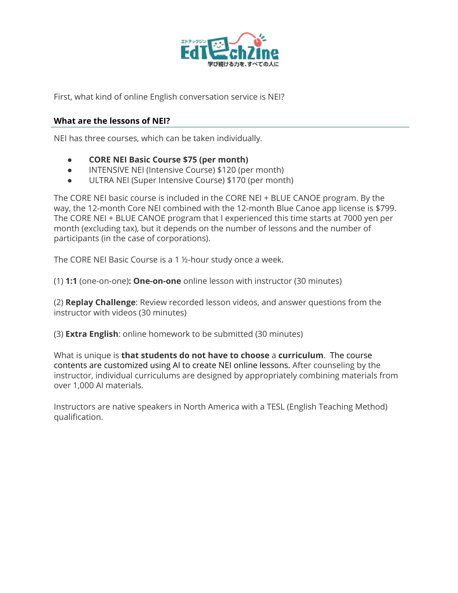

First, what kind of online English conversation service is NEI?

#### **What are the lessons of NEI?**

NEI has three courses, which can be taken individually.

- **CORE NEI Basic Course \$75 (per month)**
- INTENSIVE NEI (Intensive Course) \$120 (per month)
- ULTRA NEI (Super Intensive Course) \$170 (per month)

The CORE NEI basic course is included in the CORE NEI + BLUE CANOE program. By the way, the 12-month Core NEI combined with the 12-month Blue Canoe app license is \$799. The CORE NEI + BLUE CANOE program that I experienced this time starts at 7000 yen per month (excluding tax), but it depends on the number of lessons and the number of participants (in the case of corporations).

The CORE NEI Basic Course is a 1 ½-hour study once a week.

(1) **1:1** (one-on-one)**: One-on-one** online lesson with instructor (30 minutes)

(2) **Replay Challenge**: Review recorded lesson videos, and answer questions from the instructor with videos (30 minutes)

(3) **Extra English**: online homework to be submitted (30 minutes)

What is unique is **that students do not have to choose** a **curriculum**. The course contents are customized using AI to create NEI online lessons. After counseling by the instructor, individual curriculums are designed by appropriately combining materials from over 1,000 AI materials.

Instructors are native speakers in North America with a TESL (English Teaching Method) qualification.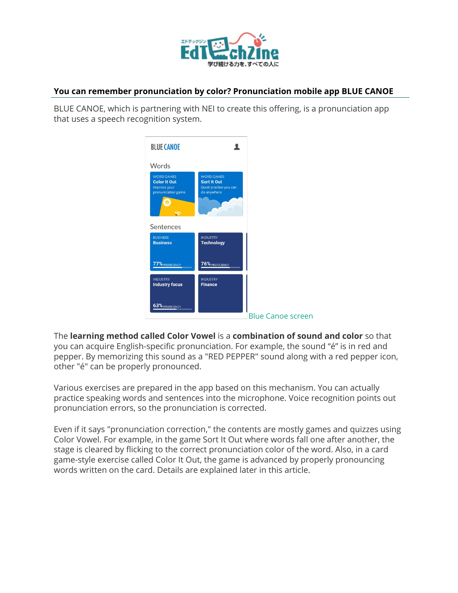

#### **You can remember pronunciation by color? Pronunciation mobile app BLUE CANOE**

BLUE CANOE, which is partnering with NEI to create this offering, is a pronunciation app that uses a speech recognition system.

| <b>BLUE CANOE</b>                                                                           |                                                                                  |                          |
|---------------------------------------------------------------------------------------------|----------------------------------------------------------------------------------|--------------------------|
| Words                                                                                       |                                                                                  |                          |
| <b>WORD GAMES</b><br><b>Color It Out</b><br>Improve your<br>pronunciation game<br><b>Up</b> | <b>WORD GAMES</b><br><b>Sort It Out</b><br>Quiet practice you can<br>do anywhere |                          |
| Sentences                                                                                   |                                                                                  |                          |
| <b>BUSINESS</b><br><b>Business</b>                                                          | <b>INDUSTRY</b><br><b>Technology</b>                                             |                          |
| 77% PROFICIENCY                                                                             | 76% PROFICIENCY                                                                  |                          |
| <b>INDUSTRY</b><br><b>Industry focus</b>                                                    | <b>INDUSTRY</b><br><b>Finance</b>                                                |                          |
| 63% PROFICIENCY                                                                             |                                                                                  |                          |
|                                                                                             |                                                                                  | <b>Blue Canoe screen</b> |

The **learning method called Color Vowel** is a **combination of sound and color** so that you can acquire English-specific pronunciation. For example, the sound "é" is in red and pepper. By memorizing this sound as a "RED PEPPER" sound along with a red pepper icon, other "é" can be properly pronounced.

Various exercises are prepared in the app based on this mechanism. You can actually practice speaking words and sentences into the microphone. Voice recognition points out pronunciation errors, so the pronunciation is corrected.

Even if it says "pronunciation correction," the contents are mostly games and quizzes using Color Vowel. For example, in the game Sort It Out where words fall one after another, the stage is cleared by flicking to the correct pronunciation color of the word. Also, in a card game-style exercise called Color It Out, the game is advanced by properly pronouncing words written on the card. Details are explained later in this article.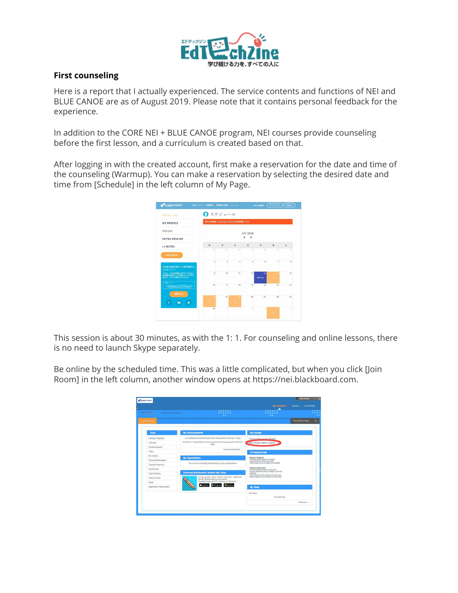

### **First counseling**

Here is a report that I actually experienced. The service contents and functions of NEI and BLUE CANOE are as of August 2019. Please note that it contains personal feedback for the experience.

In addition to the CORE NEI + BLUE CANOE program, NEI courses provide counseling before the first lesson, and a curriculum is created based on that.

After logging in with the created account, first make a reservation for the date and time of the counseling (Warmup). You can make a reservation by selecting the desired date and time from [Schedule] in the left column of My Page.



This session is about 30 minutes, as with the 1: 1. For counseling and online lessons, there is no need to launch Skype separately.

Be online by the scheduled time. This was a little complicated, but when you click [Join Room] in the left column, another window opens at https://nei.blackboard.com.

| <b>Additional</b>         |                                                                                          | Personalize Page                                                                                                 |
|---------------------------|------------------------------------------------------------------------------------------|------------------------------------------------------------------------------------------------------------------|
| <b>Tools</b>              | <b>My Announcements</b>                                                                  | <b>My Classes</b>                                                                                                |
| Change Language           | No Institution Announcements have been posted in the last 7 days.                        | Classes where you are: Student                                                                                   |
| Calendar                  | No Class or Organization Announcements have been posted in the last $\tau$ days.         | Kako Okada's Native English                                                                                      |
| Announcements             |                                                                                          |                                                                                                                  |
| Tasks                     | more announcements                                                                       | On Demand Help                                                                                                   |
| My Grades                 | <b>My Organizations</b>                                                                  | <b>Help for Students</b>                                                                                         |
| Personal Information      |                                                                                          | Visit Blackboard Help for students<br>Learn about the Blackboard app<br>Watch helpful how-to videos for students |
| Change Password           | You are not currently participating in any organizations.                                |                                                                                                                  |
| Sond Fmail                |                                                                                          | Help for Instructors<br>Visit Blackboard Help for instructors                                                    |
| User Directory            | Download Blackboard's Student App Today                                                  | Explore online teaching strategies and best<br>practices<br>Learn about the Blackboard Instructor app            |
| Address Book              | Access grades, class content, and more - right from<br>the Bb Student app on your phone. | Watch helpful how-to videos for instructors.                                                                     |
| Goals                     | Available today on IOS. Android, or Windows:                                             |                                                                                                                  |
| Application Authorization | Ano Store <b>D</b> Google Pa<br><b>Monach</b>                                            | <b>My Tasks</b>                                                                                                  |
|                           |                                                                                          | My Tasks:                                                                                                        |
|                           |                                                                                          | No tasks due.                                                                                                    |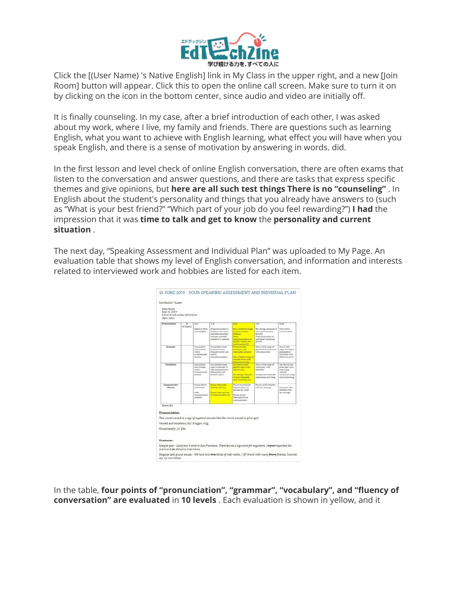

Click the [(User Name) 's Native English] link in My Class in the upper right, and a new [Join Room] button will appear. Click this to open the online call screen. Make sure to turn it on by clicking on the icon in the bottom center, since audio and video are initially off.

It is finally counseling. In my case, after a brief introduction of each other, I was asked about my work, where I live, my family and friends. There are questions such as learning English, what you want to achieve with English learning, what effect you will have when you speak English, and there is a sense of motivation by answering in words. did.

In the first lesson and level check of online English conversation, there are often exams that listen to the conversation and answer questions, and there are tasks that express specific themes and give opinions, but **here are all such test things There is no "counseling"** . In English about the student's personality and things that you already have answers to (such as "What is your best friend?" "Which part of your job do you feel rewarding?") **I had** the impression that it was **time to talk and get to know** the **personality and current situation** .

The next day, "Speaking Assessment and Individual Plan" was uploaded to My Page. An evaluation table that shows my level of English conversation, and information and interests related to interviewed work and hobbies are listed for each item.



In the table, **four points of "pronunciation", "grammar", "vocabulary", and "fluency of conversation" are evaluated** in **10 levels** . Each evaluation is shown in yellow, and it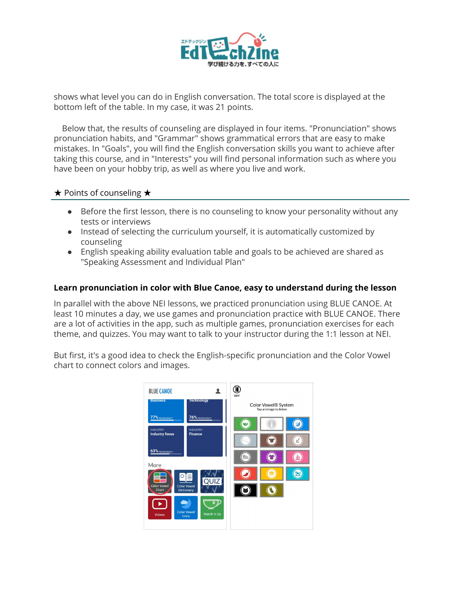

shows what level you can do in English conversation. The total score is displayed at the bottom left of the table. In my case, it was 21 points.

Below that, the results of counseling are displayed in four items. "Pronunciation" shows pronunciation habits, and "Grammar" shows grammatical errors that are easy to make mistakes. In "Goals", you will find the English conversation skills you want to achieve after taking this course, and in "Interests" you will find personal information such as where you have been on your hobby trip, as well as where you live and work.

#### ★ Points of counseling ★

- Before the first lesson, there is no counseling to know your personality without any tests or interviews
- Instead of selecting the curriculum yourself, it is automatically customized by counseling
- English speaking ability evaluation table and goals to be achieved are shared as "Speaking Assessment and Individual Plan"

#### **Learn pronunciation in color with Blue Canoe, easy to understand during the lesson**

In parallel with the above NEI lessons, we practiced pronunciation using BLUE CANOE. At least 10 minutes a day, we use games and pronunciation practice with BLUE CANOE. There are a lot of activities in the app, such as multiple games, pronunciation exercises for each theme, and quizzes. You may want to talk to your instructor during the 1:1 lesson at NEI.

But first, it's a good idea to check the English-specific pronunciation and the Color Vowel chart to connect colors and images.

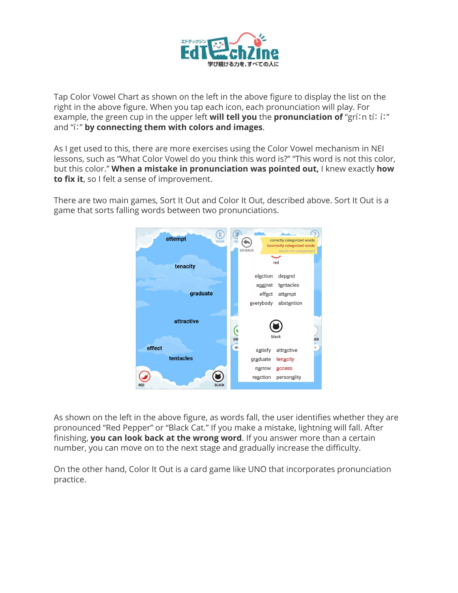

Tap Color Vowel Chart as shown on the left in the above figure to display the list on the right in the above figure. When you tap each icon, each pronunciation will play. For example, the green cup in the upper left **will tell you** the **pronunciation of** "gríːn tíː íː" and "íː" **by connecting them with colors and images**.

As I get used to this, there are more exercises using the Color Vowel mechanism in NEI lessons, such as "What Color Vowel do you think this word is?" "This word is not this color, but this color." **When a mistake in pronunciation was pointed out,** I knew exactly **how to fix it**, so I felt a sense of improvement.

There are two main games, Sort It Out and Color It Out, described above. Sort It Out is a game that sorts falling words between two pronunciations.



As shown on the left in the above figure, as words fall, the user identifies whether they are pronounced "Red Pepper" or "Black Cat." If you make a mistake, lightning will fall. After finishing, **you can look back at the wrong word**. If you answer more than a certain number, you can move on to the next stage and gradually increase the difficulty.

On the other hand, Color It Out is a card game like UNO that incorporates pronunciation practice.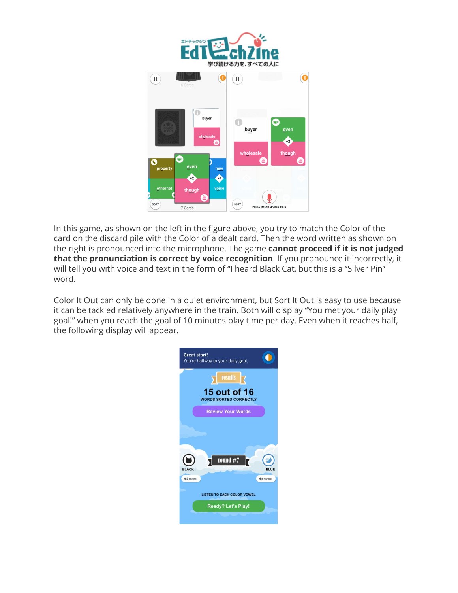

In this game, as shown on the left in the figure above, you try to match the Color of the card on the discard pile with the Color of a dealt card. Then the word written as shown on the right is pronounced into the microphone. The game **cannot proceed if it is not judged that the pronunciation is correct by voice recognition**. If you pronounce it incorrectly, it will tell you with voice and text in the form of "I heard Black Cat, but this is a "Silver Pin" word.

Color It Out can only be done in a quiet environment, but Sort It Out is easy to use because it can be tackled relatively anywhere in the train. Both will display "You met your daily play goal!" when you reach the goal of 10 minutes play time per day. Even when it reaches half, the following display will appear.

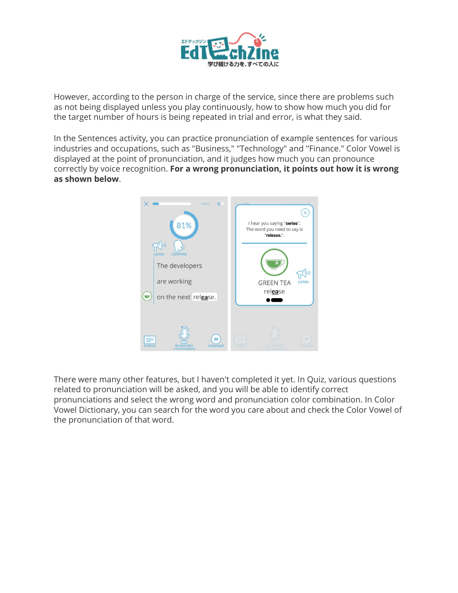

However, according to the person in charge of the service, since there are problems such as not being displayed unless you play continuously, how to show how much you did for the target number of hours is being repeated in trial and error, is what they said.

In the Sentences activity, you can practice pronunciation of example sentences for various industries and occupations, such as "Business," "Technology" and "Finance." Color Vowel is displayed at the point of pronunciation, and it judges how much you can pronounce correctly by voice recognition. **For a wrong pronunciation, it points out how it is wrong as shown below**.



There were many other features, but I haven't completed it yet. In Quiz, various questions related to pronunciation will be asked, and you will be able to identify correct pronunciations and select the wrong word and pronunciation color combination. In Color Vowel Dictionary, you can search for the word you care about and check the Color Vowel of the pronunciation of that word.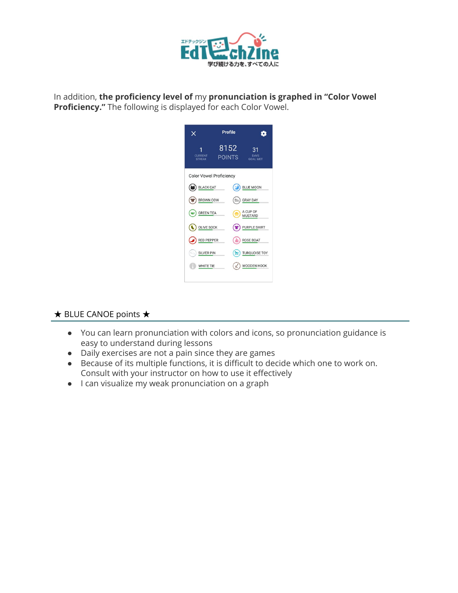

In addition, **the proficiency level of** my **pronunciation is graphed in "Color Vowel Proficiency."** The following is displayed for each Color Vowel.

| Profile                                                |                                 |
|--------------------------------------------------------|---------------------------------|
| 8152<br>31<br><b>DAYS</b><br>POINTS<br><b>GOAL MET</b> | <b>CURRENT</b><br><b>STREAK</b> |
|                                                        | <b>Color Vowel Proficiency</b>  |
| <b>BLUE MOON</b>                                       | <b>BLACK CAT</b>                |
| <b>GRAY DAY</b>                                        | <b>BROWN COW</b>                |
| A CUP OF<br><b>MUSTARD</b>                             | <b>GREEN TEA</b><br>v           |
| <b>PURPLE SHIRT</b>                                    | <b>OLIVE SOCK</b>               |
| <b>ROSE BOAT</b>                                       | <b>RED PEPPER</b>               |
| <b>TURQUOISE TOY</b><br><b>20</b>                      | <b>SILVER PIN</b><br>Q.         |
| WOODEN HOOK                                            | WHITE TIE                       |
|                                                        |                                 |

# ★ BLUE CANOE points ★

- You can learn pronunciation with colors and icons, so pronunciation guidance is easy to understand during lessons
- Daily exercises are not a pain since they are games
- Because of its multiple functions, it is difficult to decide which one to work on. Consult with your instructor on how to use it effectively
- I can visualize my weak pronunciation on a graph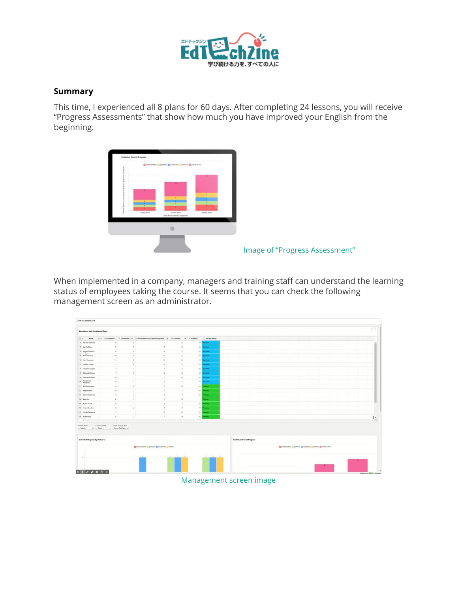

### **Summary**

This time, I experienced all 8 plans for 60 days. After completing 24 lessons, you will receive "Progress Assessments" that show how much you have improved your English from the beginning.



When implemented in a company, managers and training staff can understand the learning status of employees taking the course. It seems that you can check the following management screen as an administrator.



#### Management screen image